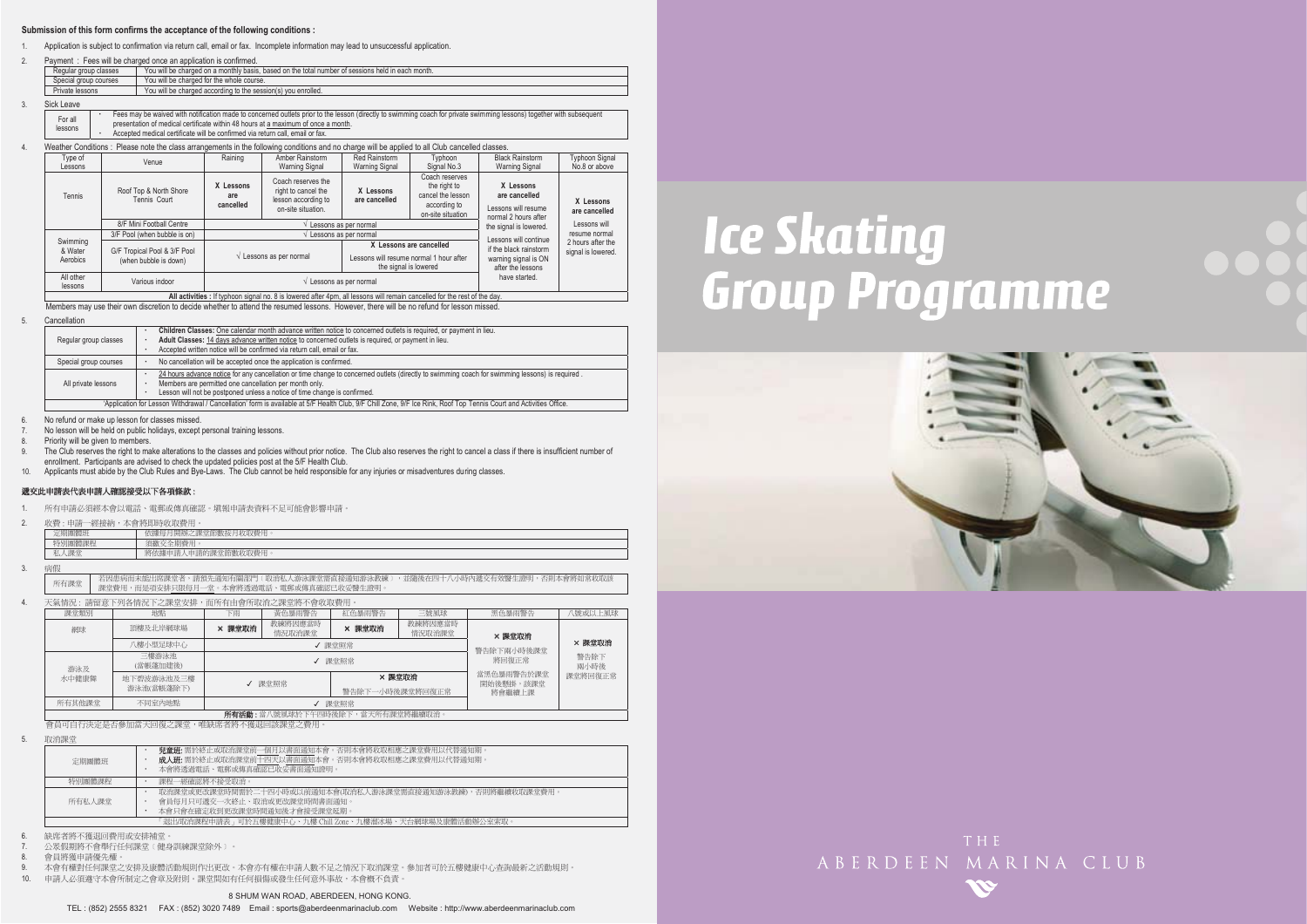#### **Submission of this form confirms the acceptance of the following conditions :**

1.Application is subject to confirmation via return call, email or fax. Incomplete information may lead to unsuccessful application.

| Fees will be charged once an application is confirmed.<br>Payment                                                          |  |  |  |  |  |  |  |
|----------------------------------------------------------------------------------------------------------------------------|--|--|--|--|--|--|--|
| You will be charged on a monthly basis, based on the total number of sessions held in each month.<br>Regular group classes |  |  |  |  |  |  |  |
| You will be charged for the whole course.<br>Special group courses                                                         |  |  |  |  |  |  |  |
| Private lessons<br>You will be charged according to the session(s) you enrolled.                                           |  |  |  |  |  |  |  |
|                                                                                                                            |  |  |  |  |  |  |  |

3.Sick Leave

4.

2.

| .       |                                                                                                                                                                       |
|---------|-----------------------------------------------------------------------------------------------------------------------------------------------------------------------|
| For all | Fees may be waived with notification made to concerned outlets prior to the lesson (directly to swimming coach for private swimming lessons) together with subsequent |
| lessons | presentation of medical certificate within 48 hours at a maximum of once a month.                                                                                     |
|         | Accepted medical certificate will be confirmed via return call, email or fax.                                                                                         |

#### Weather Conditions : Please note the class arrangements in the following conditions and no charge will be applied to all Club cancelled classes.

| Type of<br>Lessons              | Venue                                                 | Raining                       | Amber Rainstorm<br>Warning Signal                                                      | Red Rainstorm<br>Warning Signal                                                            | Typhoon<br>Signal No.3                                                                                                                                                | <b>Black Rainstorm</b><br>Warning Signal                                                     | <b>Typhoon Signal</b><br>No.8 or above  |  |
|---------------------------------|-------------------------------------------------------|-------------------------------|----------------------------------------------------------------------------------------|--------------------------------------------------------------------------------------------|-----------------------------------------------------------------------------------------------------------------------------------------------------------------------|----------------------------------------------------------------------------------------------|-----------------------------------------|--|
| Tennis                          | Roof Top & North Shore<br>Tennis Court                | X Lessons<br>are<br>cancelled | Coach reserves the<br>right to cancel the<br>lesson according to<br>on-site situation. | X Lessons<br>are cancelled                                                                 | Coach reserves<br>X Lessons<br>the right to<br>are cancelled<br>cancel the lesson<br>according to<br>Lessons will resume<br>on-site situation<br>normal 2 hours after |                                                                                              | X Lessons<br>are cancelled              |  |
|                                 | 8/F Mini Football Centre                              | the signal is lowered.        | Lessons will                                                                           |                                                                                            |                                                                                                                                                                       |                                                                                              |                                         |  |
|                                 | 3/F Pool (when bubble is on)                          |                               | Lessons as per normal                                                                  |                                                                                            |                                                                                                                                                                       |                                                                                              | resume normal                           |  |
| Swimming<br>& Water<br>Aerobics | G/F Tropical Pool & 3/F Pool<br>(when bubble is down) |                               | $\sqrt{\phantom{a}}$ Lessons as per normal                                             | X Lessons are cancelled<br>essons will resume normal 1 hour after<br>the signal is lowered |                                                                                                                                                                       | Lessons will continue<br>if the black rainstorm<br>warning signal is ON<br>after the lessons | 2 hours after the<br>signal is lowered. |  |
| All other<br>lessons            | Various indoor                                        |                               | $\sqrt{\phantom{a}}$ Lessons as per normal                                             | have started.                                                                              |                                                                                                                                                                       |                                                                                              |                                         |  |

**All activities :** If typhoon signal no. 8 is lowered after 4pm, all lessons will remain cancelled for the rest of the day.

Members may use their own discretion to decide whether to attend the resumed lessons. However, there will be no refund for lesson missed.

#### 5.Cancellation

|                                                                                              |                                                                                                                                                                     | Children Classes: One calendar month advance written notice to concerned outlets is required, or payment in lieu.                               |  |  |  |  |  |  |
|----------------------------------------------------------------------------------------------|---------------------------------------------------------------------------------------------------------------------------------------------------------------------|-------------------------------------------------------------------------------------------------------------------------------------------------|--|--|--|--|--|--|
|                                                                                              | Regular group classes                                                                                                                                               | Adult Classes: 14 days advance written notice to concerned outlets is required, or payment in lieu.                                             |  |  |  |  |  |  |
|                                                                                              |                                                                                                                                                                     | Accepted written notice will be confirmed via return call, email or fax.                                                                        |  |  |  |  |  |  |
| No cancellation will be accepted once the application is confirmed.<br>Special group courses |                                                                                                                                                                     |                                                                                                                                                 |  |  |  |  |  |  |
|                                                                                              |                                                                                                                                                                     | 24 hours advance notice for any cancellation or time change to concerned outlets (directly to swimming coach for swimming lessons) is required. |  |  |  |  |  |  |
|                                                                                              | All private lessons                                                                                                                                                 | Members are permitted one cancellation per month only.                                                                                          |  |  |  |  |  |  |
| Lesson will not be postponed unless a notice of time change is confirmed.                    |                                                                                                                                                                     |                                                                                                                                                 |  |  |  |  |  |  |
|                                                                                              | 'Application for Lesson Withdrawal / Cancellation' form is available at 5/F Health Club, 9/F Chill Zone, 9/F Ice Rink, Roof Top Tennis Court and Activities Office. |                                                                                                                                                 |  |  |  |  |  |  |

No refund or make up lesson for classes missed.

7.No lesson will be held on public holidays, except personal training lessons.

8.Priority will be given to members.

9. The Club reserves the right to make alterations to the classes and policies without prior notice. The Club also reserves the right to cancel a class if there is insufficient number of enrollment. Participants are advised to check the updated policies post at the 5/F Health Club.

10. Applicants must abide by the Club Rules and Bye-Laws. The Club cannot be held responsible for any injuries or misadventures during classes.

#### 遞交此申請表代表申請人確認接受以下各項條款:

1. 所有申請必須經本會以電話、電郵或傳真確認。填報申請表資料不足可能會影響申請。

2. 收費 : 申請一經接納,本會將即時收取費用。

| ≖                                                        | 1111543<br><b>Live Lake</b><br><b>State</b><br>收取費<br>$\sim$<br>はみずい<br>ж<br>开初<br>Æ<br><b>CENT</b><br><b>ELA</b> |  |  |  |  |  |  |
|----------------------------------------------------------|-------------------------------------------------------------------------------------------------------------------|--|--|--|--|--|--|
| Adventure trust<br>寺別團體課程<br><b>CITY GON-</b><br>--> HH4 |                                                                                                                   |  |  |  |  |  |  |
| <b>CLAND</b>                                             | 电器的<br>将依據申請丿<br>۴m<br>厈<br>人耳又有的!<br>$\cdots$                                                                    |  |  |  |  |  |  |
|                                                          |                                                                                                                   |  |  |  |  |  |  |

3.病假

6.

│ 若因患病而未能出席課堂者,請預先通知有關部門〔取消私人游泳課堂需直接通知游泳教練〕,並隨後在四十八小時內遞交有效醫生證明,否則本會將如常收取該<br>所有課堂 課堂費用,而是項安排只限每月一堂。本會將透過電話、電郵或傳真確認已收妥醫生證明。

4.天氣情況:請留意下列各情況下之課堂安排,而所有由會所取消之課堂將不會收取費用

| 課堂類別                                                                                        | 地點                       | 下雨     | 黃色暴雨警告            | 紅色暴雨警告 | 三號風球              | 黑色暴雨警告                  | ト風且以旋號!      |
|---------------------------------------------------------------------------------------------|--------------------------|--------|-------------------|--------|-------------------|-------------------------|--------------|
| 網球                                                                                          | 頂樓及北岸網球場                 | × 課堂取消 | 教練將因應當時<br>情況取消課堂 | × 課堂取消 | 教練將因應當時<br>情況取消課堂 | × 課堂取消                  |              |
|                                                                                             | 八樓小型足球中心<br>√ 課堂照常       |        |                   |        |                   |                         | × 課堂取消       |
| 游泳及                                                                                         | 三樓游泳池<br>(當帳蓬加建後)        |        | √ 課堂昭堂            |        |                   |                         | 警告除下<br>兩小時後 |
| 水中健康舞                                                                                       | 地下碧波游泳池及三樓<br>游泳池(當帳蓬除下) | √ 課堂照常 |                   | × 課堂取消 |                   | 常黑色暴雨警告於課堂<br>開始後懸掛,該課堂 | 課堂將回復正常      |
|                                                                                             | 警告除下一小時後課堂將回復正常          |        |                   |        |                   | 將會繼續上課                  |              |
| 所有其他課堂                                                                                      | 不同室内地點                   |        | 課堂照常              |        |                   |                         |              |
| CONTRACTORS . AND RESIDENT TO HAPPEN TO A TIME A ACTIVE AND TO AN INTERFERING AN ASSESSMENT |                          |        |                   |        |                   |                         |              |

ڶࢬ೯ʳˍʳᅝԶᇆଅ࣍Հ֑ழ৵ೈՀΔᅝ֚ڶࢬᓰഘലᤉᥛ࠷ΖΖʳشᇠᓰഘհ၄ڃലլᛧಯஂृഄ༚հᓰഘΔڃ֚ᅝףܡਢࡳެ۩۞ױᄎ

5. 取消課堂

| 定期團體班                                                     | <b>兒童斑:</b> 需於終止或取消課堂前一個月以書面通知本會。否則本會將收取相應之課堂費用以代替通知期<br>成人班: 需於終止或取消課堂前十四天以書面通知本會。否則本會將收取相應之課堂費用以代替通知期。<br>本會將透過電話、電郵或傳真確認已收妥書面通知證明。 |  |  |  |  |  |  |
|-----------------------------------------------------------|---------------------------------------------------------------------------------------------------------------------------------------|--|--|--|--|--|--|
| 特別團體課程                                                    | 課程一經確認將不接受取消。                                                                                                                         |  |  |  |  |  |  |
| 所有私人課堂                                                    | 取消課堂或更改課堂時間需於二十四小時或以前通知本會(取消私人游泳課堂需直接通知游泳教練),否則將繼續收取課堂費用。<br>會員每月只可遞交一次終止、取消或更改課堂時間書面通知。<br>本會只會在確定收到更改課堂時間涌知後才會接受課堂延期。               |  |  |  |  |  |  |
| 「退出/取消課程申請表」可於五樓健康中心、九樓 Chill Zone、九樓溜冰場、天台網球場及康體活動辦公室索取」 |                                                                                                                                       |  |  |  |  |  |  |

6.缺席者將不獲退回費用或安排補堂。

7.公眾假期將不會舉行任何課堂(健身訓練課堂除外)。

8.會員將獲申請優先權

9.本會有權對任何課堂之安排及康體活動規則作出更改。本會亦有權在申請人數不足之情況下取消課堂。參加者可於五樓健康中心查詢最新之活動規則。

10. 申請人必須遵守本會所制定之會章及附則。課堂間如有任何損傷或發生任何意外事故,本會槪不負責。

#### TEL : (852) 2555 8321 FAX : (852) 3020 7489 Email : sports@aberdeenmarinaclub.com Website : http://www.aberdeenmarinaclub.com

# **Ice Skating Group Programme**





ABERDEEN MARINA CLUB